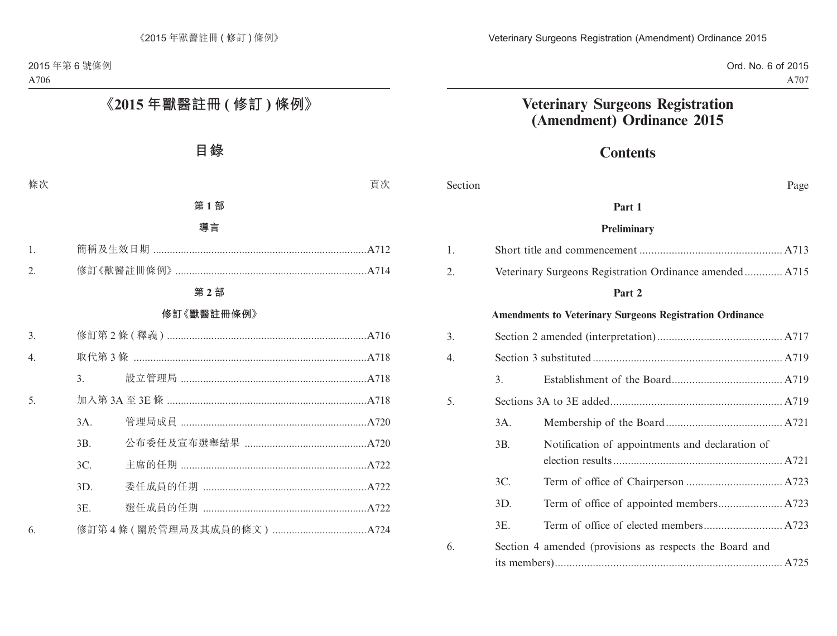Ord. No. 6 of 2015 A707

# **Veterinary Surgeons Registration (Amendment) Ordinance 2015**

# **Contents**

| Section          |                  | Page                                                            |
|------------------|------------------|-----------------------------------------------------------------|
|                  |                  | Part 1                                                          |
|                  |                  | <b>Preliminary</b>                                              |
| 1.               |                  |                                                                 |
| 2.               |                  | Veterinary Surgeons Registration Ordinance amended A715         |
|                  |                  | Part 2                                                          |
|                  |                  | <b>Amendments to Veterinary Surgeons Registration Ordinance</b> |
| 3.               |                  |                                                                 |
| $\overline{4}$ . |                  |                                                                 |
|                  | $\overline{3}$ . |                                                                 |
| 5.               |                  |                                                                 |
|                  | 3A.              |                                                                 |
|                  | 3B.              | Notification of appointments and declaration of                 |
|                  | 3C.              |                                                                 |
|                  | 3D.              |                                                                 |
|                  | 3E.              |                                                                 |
| 6.               |                  | Section 4 amended (provisions as respects the Board and         |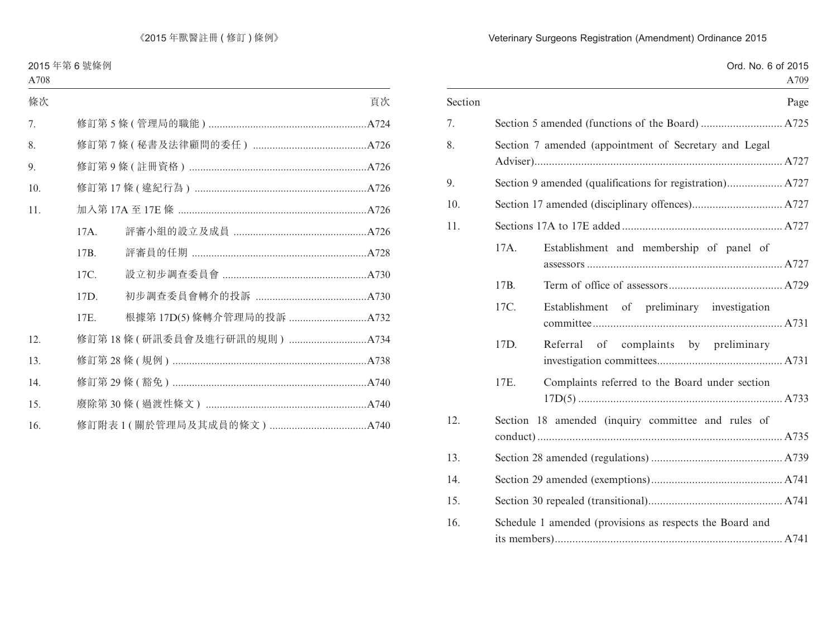|         |      | Ord. No. 6 of 2015<br>A709                               |
|---------|------|----------------------------------------------------------|
| Section |      | Page                                                     |
| 7.      |      |                                                          |
| 8.      |      | Section 7 amended (appointment of Secretary and Legal    |
| 9.      |      |                                                          |
| 10.     |      |                                                          |
| 11.     |      |                                                          |
|         | 17A. | Establishment and membership of panel of                 |
|         | 17B. |                                                          |
|         | 17C. | Establishment of preliminary investigation               |
|         | 17D. | Referral of complaints by preliminary                    |
|         | 17E. | Complaints referred to the Board under section           |
| 12.     |      | Section 18 amended (inquiry committee and rules of       |
| 13.     |      |                                                          |
| 14.     |      |                                                          |
| 15.     |      |                                                          |
| 16.     |      | Schedule 1 amended (provisions as respects the Board and |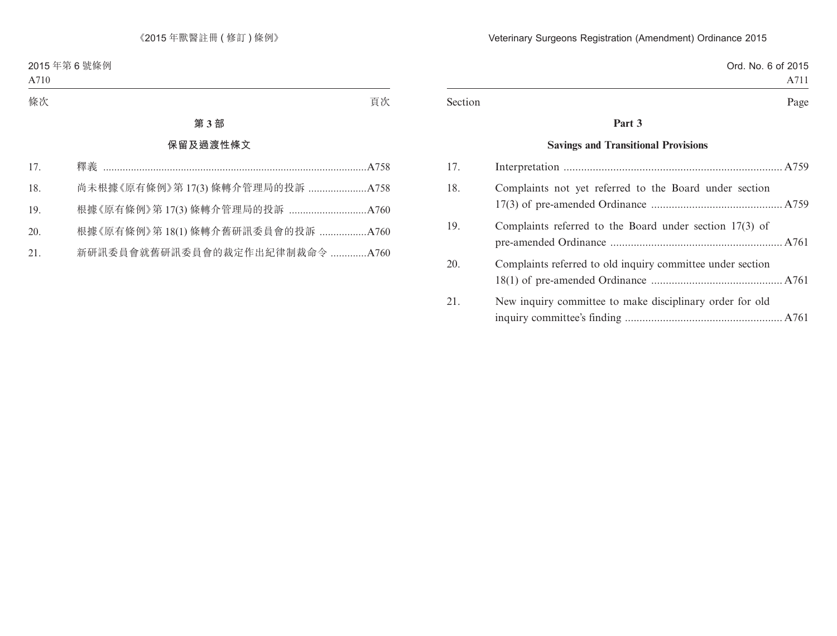|         | Ord. No. 6 of 2015 |
|---------|--------------------|
|         | A711               |
| Section | Page               |

# **Part 3**

### **Savings and Transitional Provisions**

| 17. |                                                            |  |
|-----|------------------------------------------------------------|--|
| 18. | Complaints not yet referred to the Board under section     |  |
| 19. | Complaints referred to the Board under section $17(3)$ of  |  |
| 20. | Complaints referred to old inquiry committee under section |  |
| 21. | New inquiry committee to make disciplinary order for old   |  |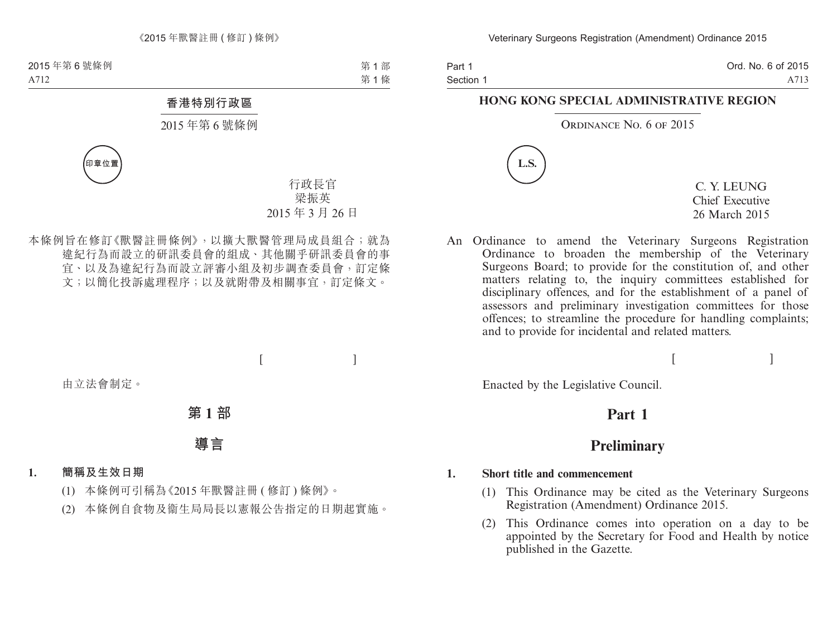Part 1 Section 1 Ord. No. 6 of 2015 A713

### **HONG KONG SPECIAL ADMINISTRATIVE REGION**

#### ORDINANCE NO. 6 OF 2015



C. Y. LEUNG Chief Executive 26 March 2015

An Ordinance to amend the Veterinary Surgeons Registration Ordinance to broaden the membership of the Veterinary Surgeons Board; to provide for the constitution of, and other matters relating to, the inquiry committees established for disciplinary offences, and for the establishment of a panel of assessors and preliminary investigation committees for those offences; to streamline the procedure for handling complaints; and to provide for incidental and related matters.

 $[$   $]$ 

Enacted by the Legislative Council.

# **Part 1**

# **Preliminary**

#### **1. Short title and commencement**

- (1) This Ordinance may be cited as the Veterinary Surgeons Registration (Amendment) Ordinance 2015.
- (2) This Ordinance comes into operation on a day to be appointed by the Secretary for Food and Health by notice published in the Gazette.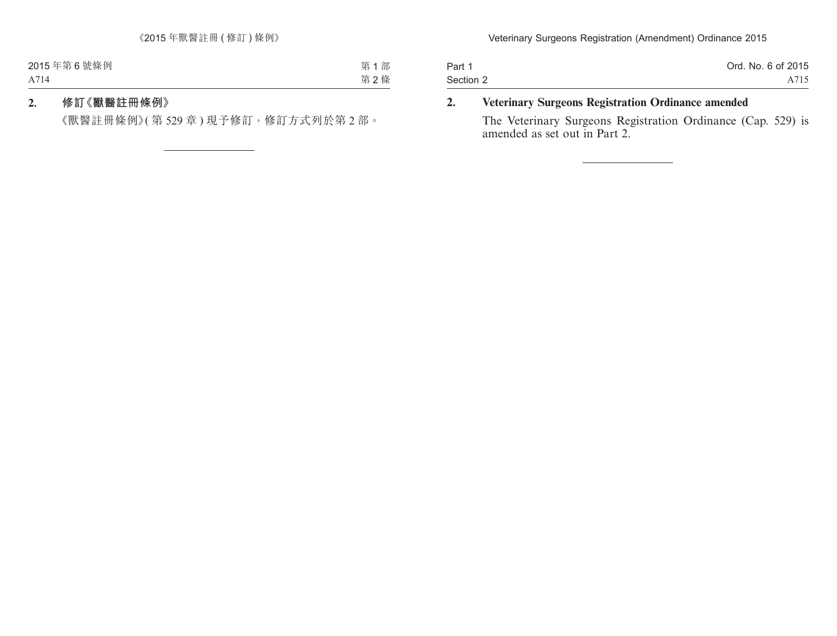| Part 1    | Ord. No. 6 of 2015 |
|-----------|--------------------|
| Section 2 | A715               |

## **2. Veterinary Surgeons Registration Ordinance amended**

The Veterinary Surgeons Registration Ordinance (Cap. 529) is amended as set out in Part 2.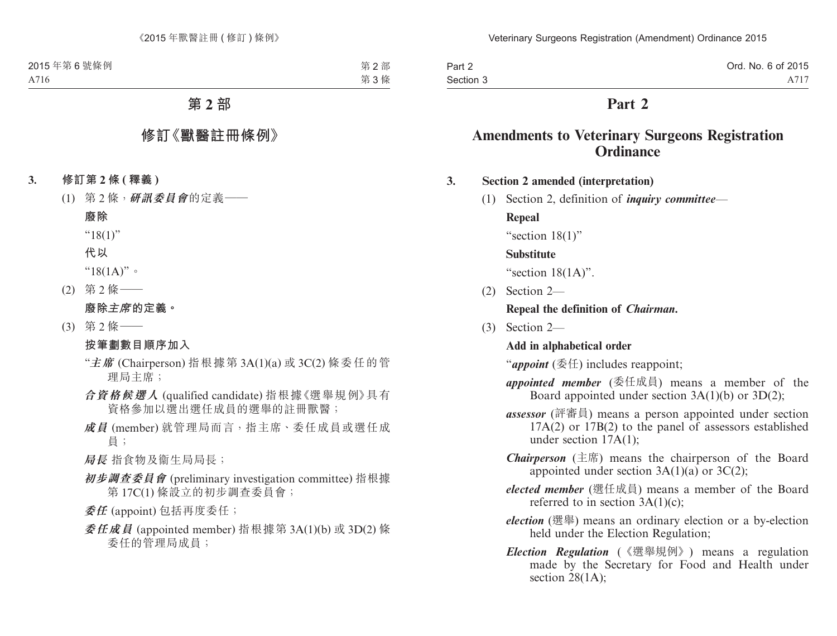| Part 2    | Ord. No. 6 of 2015 |
|-----------|--------------------|
| Section 3 | A717               |

# **Part 2**

# **Amendments to Veterinary Surgeons Registration Ordinance**

#### **3. Section 2 amended (interpretation)**

(1) Section 2, definition of *inquiry committee*—

**Repeal**

"section 18(1)"

#### **Substitute**

"section  $18(1A)$ ".

(2) Section 2—

#### **Repeal the definition of** *Chairman***.**

(3) Section 2—

#### **Add in alphabetical order**

"*appoint* (委任) includes reappoint;

- *appointed member* (委任成員) means a member of the Board appointed under section 3A(1)(b) or 3D(2);
- *assessor* (評審員) means a person appointed under section  $17A(2)$  or  $17B(2)$  to the panel of assessors established under section 17A(1);
- *Chairperson* (主席) means the chairperson of the Board appointed under section  $3A(1)(a)$  or  $3C(2)$ ;
- *elected member* (選任成員) means a member of the Board referred to in section  $3A(1)(c)$ ;
- *election* (選舉) means an ordinary election or a by-election held under the Election Regulation;
- *Election Regulation* (《選舉規例》) means a regulation made by the Secretary for Food and Health under section 28(1A);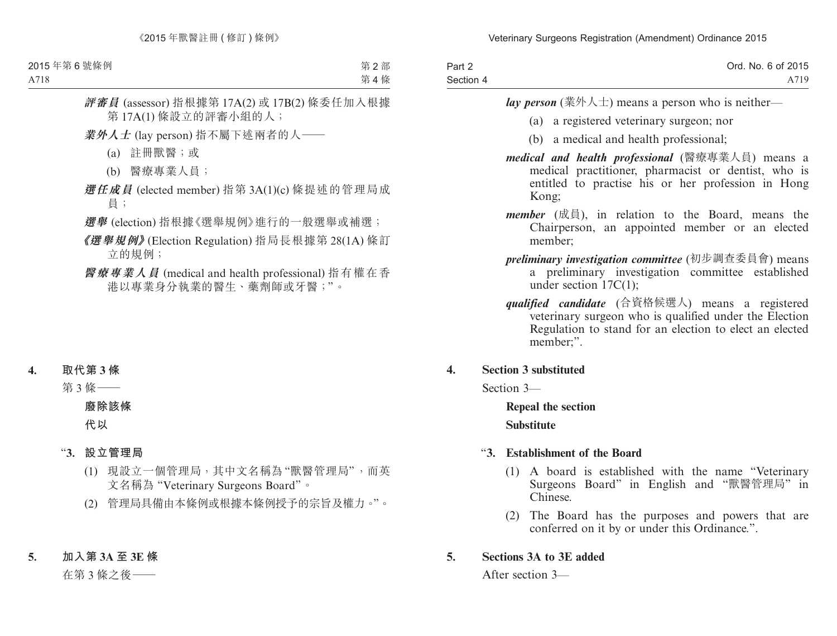| Part 2    | Ord. No. 6 of 2015 |
|-----------|--------------------|
| Section 4 | A719               |

*lay person* (業外人士) means a person who is neither—

- (a) a registered veterinary surgeon; nor
- (b) a medical and health professional;
- *medical and health professional* (醫療專業人員) means a medical practitioner, pharmacist or dentist, who is entitled to practise his or her profession in Hong Kong;
- *member* (成員), in relation to the Board, means the Chairperson, an appointed member or an elected member;
- *preliminary investigation committee* (初步調查委員會) means a preliminary investigation committee established under section 17C(1);
- *qualified candidate* (合資格候選人) means a registered veterinary surgeon who is qualified under the Election Regulation to stand for an election to elect an elected member;".

### **4. Section 3 substituted**

Section 3—

**Repeal the section Substitute**

# "**3. Establishment of the Board**

- (1) A board is established with the name "Veterinary Surgeons Board" in English and "獸醫管理局" in Chinese.
- (2) The Board has the purposes and powers that are conferred on it by or under this Ordinance.".

# **5. Sections 3A to 3E added**

After section 3—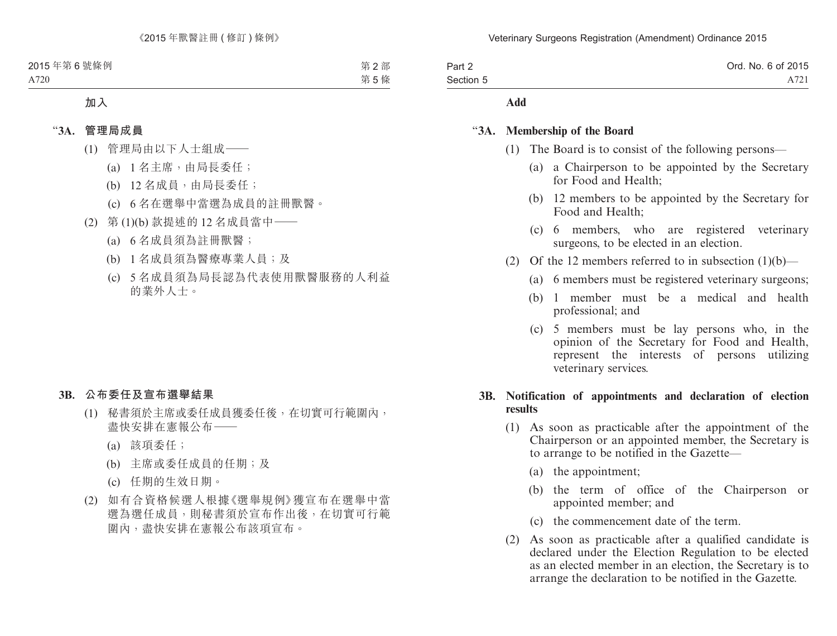| Part 2    | Ord. No. 6 of 2015 |
|-----------|--------------------|
| Section 5 | A721               |

#### **Add**

#### "**3A. Membership of the Board**

- (1) The Board is to consist of the following persons—
	- (a) a Chairperson to be appointed by the Secretary for Food and Health;
	- (b) 12 members to be appointed by the Secretary for Food and Health;
	- (c) 6 members, who are registered veterinary surgeons, to be elected in an election.
- (2) Of the 12 members referred to in subsection  $(1)(b)$ 
	- (a) 6 members must be registered veterinary surgeons;
	- (b) 1 member must be a medical and health professional; and
	- (c) 5 members must be lay persons who, in the opinion of the Secretary for Food and Health, represent the interests of persons utilizing veterinary services.

#### **3B. Notification of appointments and declaration of election results**

- (1) As soon as practicable after the appointment of the Chairperson or an appointed member, the Secretary is to arrange to be notified in the Gazette—
	- (a) the appointment;
	- (b) the term of office of the Chairperson or appointed member; and
	- (c) the commencement date of the term.
- (2) As soon as practicable after a qualified candidate is declared under the Election Regulation to be elected as an elected member in an election, the Secretary is to arrange the declaration to be notified in the Gazette.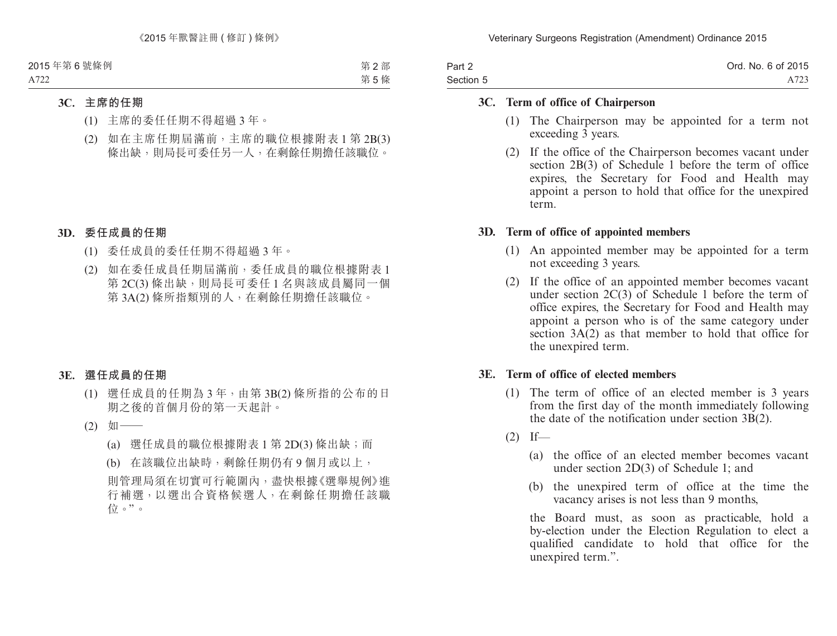| Part 2    | Ord. No. 6 of 2015 |
|-----------|--------------------|
| Section 5 | A723               |

#### **3C. Term of office of Chairperson**

- (1) The Chairperson may be appointed for a term not exceeding 3 years.
- (2) If the office of the Chairperson becomes vacant under section 2B(3) of Schedule 1 before the term of office expires, the Secretary for Food and Health may appoint a person to hold that office for the unexpired term.

#### **3D. Term of office of appointed members**

- (1) An appointed member may be appointed for a term not exceeding 3 years.
- (2) If the office of an appointed member becomes vacant under section  $2C(3)$  of Schedule 1 before the term of office expires, the Secretary for Food and Health may appoint a person who is of the same category under section  $3A(2)$  as that member to hold that office for the unexpired term.

#### **3E. Term of office of elected members**

- (1) The term of office of an elected member is 3 years from the first day of the month immediately following the date of the notification under section 3B(2).
- $(2)$  If—
	- (a) the office of an elected member becomes vacant under section 2D(3) of Schedule 1; and
	- (b) the unexpired term of office at the time the vacancy arises is not less than 9 months,

the Board must, as soon as practicable, hold a by-election under the Election Regulation to elect a qualified candidate to hold that office for the unexpired term.".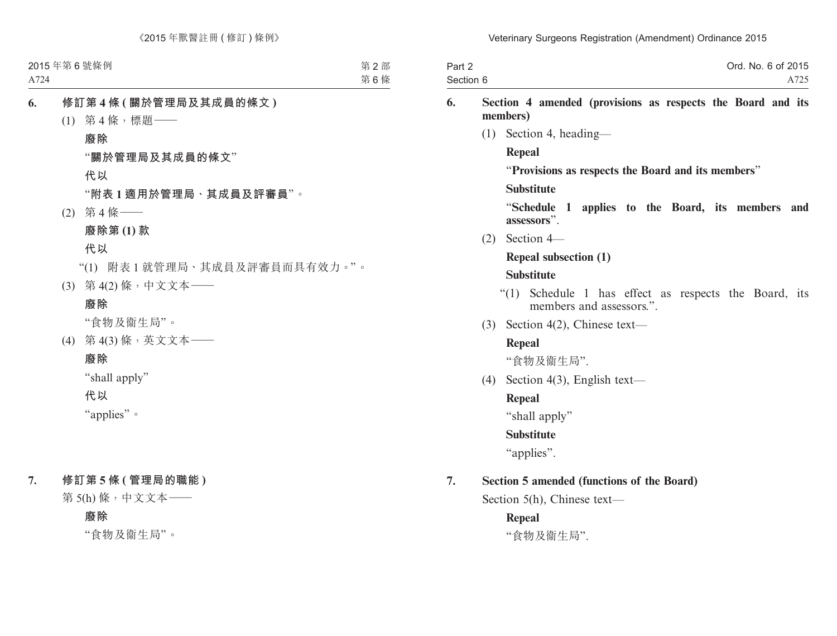| Part 2    | Ord. No. 6 of 2015 |
|-----------|--------------------|
| Section 6 | A725               |

### **6. Section 4 amended (provisions as respects the Board and its members)**

(1) Section 4, heading—

#### **Repeal**

"**Provisions as respects the Board and its members**"

#### **Substitute**

"**Schedule 1 applies to the Board, its members and assessors**".

(2) Section 4—

### **Repeal subsection (1)**

#### **Substitute**

- "(1) Schedule 1 has effect as respects the Board, its members and assessors."
- (3) Section 4(2), Chinese text—

### **Repeal**

"食物及衞生局".

(4) Section 4(3), English text—

### **Repeal**

"shall apply"

### **Substitute**

"applies".

# **7. Section 5 amended (functions of the Board)**

Section 5(h), Chinese text—

### **Repeal**

"食物及衞生局".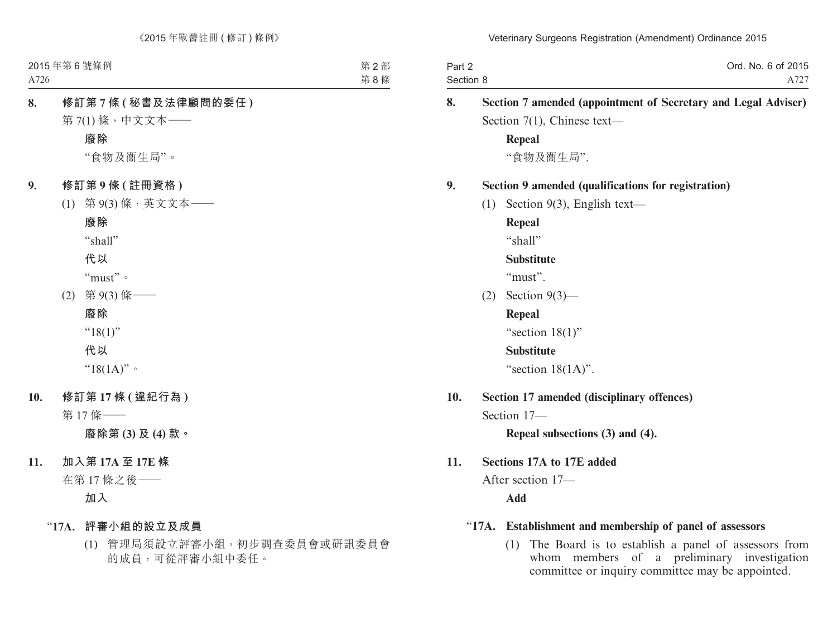| Part 2    | Ord. No. 6 of 2015 |
|-----------|--------------------|
| Section 8 | A727               |

| 8.  |     | Section 7 amended (appointment of Secretary and Legal Adviser) |
|-----|-----|----------------------------------------------------------------|
|     |     | Section $7(1)$ , Chinese text-                                 |
|     |     | <b>Repeal</b>                                                  |
|     |     | "食物及衞生局".                                                      |
| 9.  |     | Section 9 amended (qualifications for registration)            |
|     | (1) | Section 9(3), English text-                                    |
|     |     | <b>Repeal</b>                                                  |
|     |     | "shall"                                                        |
|     |     | <b>Substitute</b>                                              |
|     |     | "must".                                                        |
|     |     | (2) Section $9(3)$ —                                           |
|     |     | <b>Repeal</b>                                                  |
|     |     | "section $18(1)$ "                                             |
|     |     | <b>Substitute</b>                                              |
|     |     | "section $18(1A)$ ".                                           |
| 10. |     | Section 17 amended (disciplinary offences)                     |
|     |     | Section 17-                                                    |
|     |     | Repeal subsections (3) and (4).                                |
| 11. |     | Sections 17A to 17E added                                      |
|     |     | After section 17-                                              |
|     |     | Add                                                            |
|     |     | "17A. Establishment and membership of panel of assessors       |
|     |     |                                                                |

(1) The Board is to establish a panel of assessors from whom members of a preliminary investigation committee or inquiry committee may be appointed.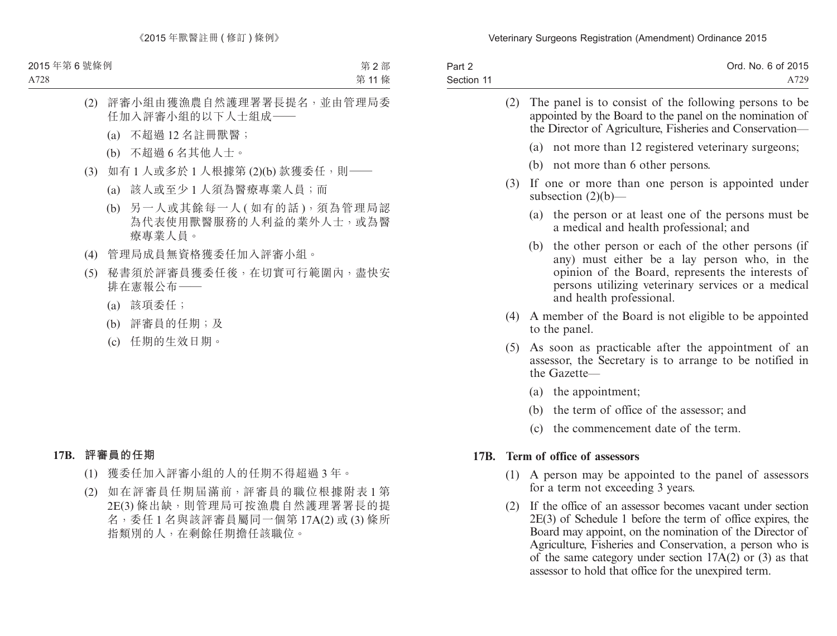| Part 2     | Ord. No. 6 of 2015 |
|------------|--------------------|
| Section 11 | A729               |

|      | (2) | The panel is to consist of the following persons to be<br>appointed by the Board to the panel on the nomination of<br>the Director of Agriculture, Fisheries and Conservation—                                                                  |  |  |
|------|-----|-------------------------------------------------------------------------------------------------------------------------------------------------------------------------------------------------------------------------------------------------|--|--|
|      |     | (a) not more than 12 registered veterinary surgeons;                                                                                                                                                                                            |  |  |
|      |     | (b) not more than 6 other persons.                                                                                                                                                                                                              |  |  |
|      | (3) | If one or more than one person is appointed under<br>subsection $(2)(b)$ —                                                                                                                                                                      |  |  |
|      |     | (a) the person or at least one of the persons must be<br>a medical and health professional; and                                                                                                                                                 |  |  |
|      |     | the other person or each of the other persons (if<br>(b)<br>any) must either be a lay person who, in the<br>opinion of the Board, represents the interests of<br>persons utilizing veterinary services or a medical<br>and health professional. |  |  |
|      | (4) | A member of the Board is not eligible to be appointed<br>to the panel.                                                                                                                                                                          |  |  |
|      | (5) | As soon as practicable after the appointment of an<br>assessor, the Secretary is to arrange to be notified in<br>the Gazette-                                                                                                                   |  |  |
|      |     | (a) the appointment;                                                                                                                                                                                                                            |  |  |
|      |     | (b) the term of office of the assessor; and                                                                                                                                                                                                     |  |  |
|      |     | (c) the commencement date of the term.                                                                                                                                                                                                          |  |  |
| 17B. |     | Term of office of assessors                                                                                                                                                                                                                     |  |  |
|      | (1) | A person may be appointed to the panel of assessors<br>for a term not exceeding 3 years.                                                                                                                                                        |  |  |
|      | (2) | If the office of an assessor becomes vacant under section                                                                                                                                                                                       |  |  |

2E(3) of Schedule 1 before the term of office expires, the Board may appoint, on the nomination of the Director of Agriculture, Fisheries and Conservation, a person who is of the same category under section  $17A(2)$  or (3) as that assessor to hold that office for the unexpired term.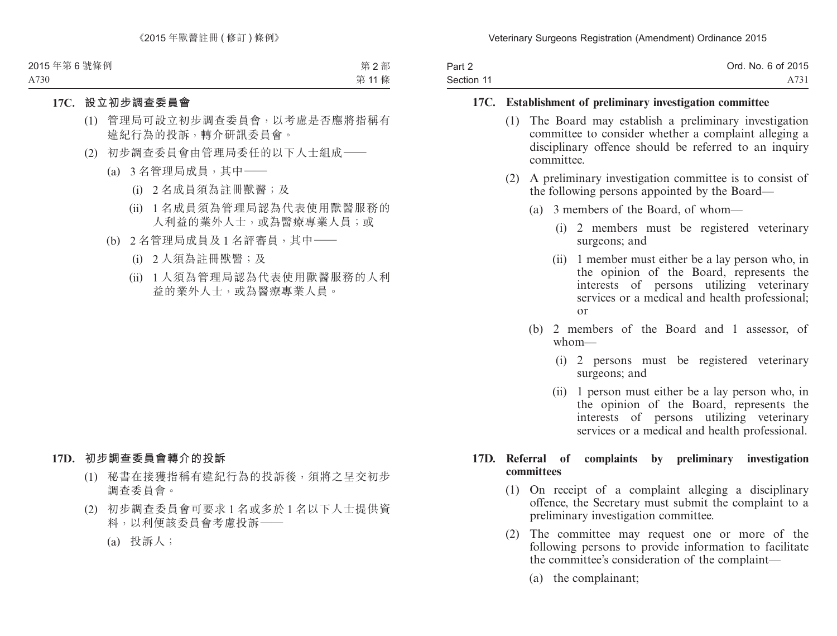| Part 2     | Ord. No. 6 of 2015 |
|------------|--------------------|
| Section 11 | A731               |

### **17C. Establishment of preliminary investigation committee**

- (1) The Board may establish a preliminary investigation committee to consider whether a complaint alleging a disciplinary offence should be referred to an inquiry committee.
- (2) A preliminary investigation committee is to consist of the following persons appointed by the Board—
	- (a) 3 members of the Board, of whom—
		- (i) 2 members must be registered veterinary surgeons; and
		- (ii) 1 member must either be a lay person who, in the opinion of the Board, represents the interests of persons utilizing veterinary services or a medical and health professional; or
	- (b) 2 members of the Board and 1 assessor, of whom—
		- (i) 2 persons must be registered veterinary surgeons; and
		- (ii) 1 person must either be a lay person who, in the opinion of the Board, represents the interests of persons utilizing veterinary services or a medical and health professional.

#### **17D. Referral of complaints by preliminary investigation committees**

- (1) On receipt of a complaint alleging a disciplinary offence, the Secretary must submit the complaint to a preliminary investigation committee.
- (2) The committee may request one or more of the following persons to provide information to facilitate the committee's consideration of the complaint—
	- (a) the complainant;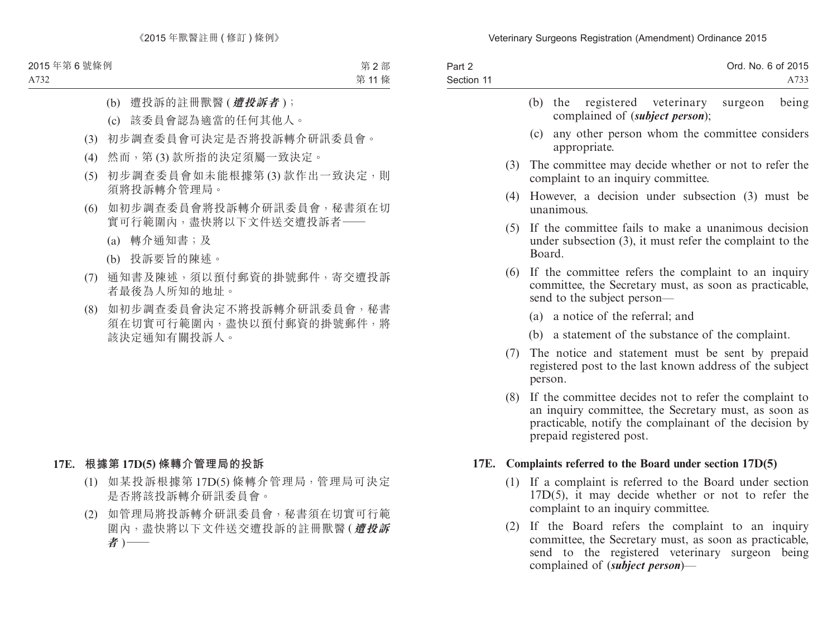| Part 2     | Ord. No. 6 of 2015 |
|------------|--------------------|
| Section 11 | A733               |

|     | (b) the registered veterinary surgeon<br>being<br>complained of ( <i>subject person</i> );                                                   |
|-----|----------------------------------------------------------------------------------------------------------------------------------------------|
|     | any other person whom the committee considers<br>(c)<br>appropriate.                                                                         |
| (3) | The committee may decide whether or not to refer the<br>complaint to an inquiry committee.                                                   |
| (4) | However, a decision under subsection (3) must be<br>unanimous.                                                                               |
| (5) | If the committee fails to make a unanimous decision<br>under subsection $(3)$ , it must refer the complaint to the<br>Board.                 |
| (6) | If the committee refers the complaint to an inquiry<br>committee, the Secretary must, as soon as practicable,<br>send to the subject person— |
|     | (a) a notice of the referral; and                                                                                                            |
|     | (b) a statement of the substance of the complaint.                                                                                           |
| (7) | The notice and statement must be sent by prepaid<br>registered post to the last known address of the subject<br>person.                      |
| (8) | If the committee decides not to refer the complaint to                                                                                       |

an inquiry committee, the Secretary must, as soon as practicable, notify the complainant of the decision by prepaid registered post.

#### **17E. Complaints referred to the Board under section 17D(5)**

- (1) If a complaint is referred to the Board under section 17D(5), it may decide whether or not to refer the complaint to an inquiry committee.
- (2) If the Board refers the complaint to an inquiry committee, the Secretary must, as soon as practicable, send to the registered veterinary surgeon being complained of (*subject person*)—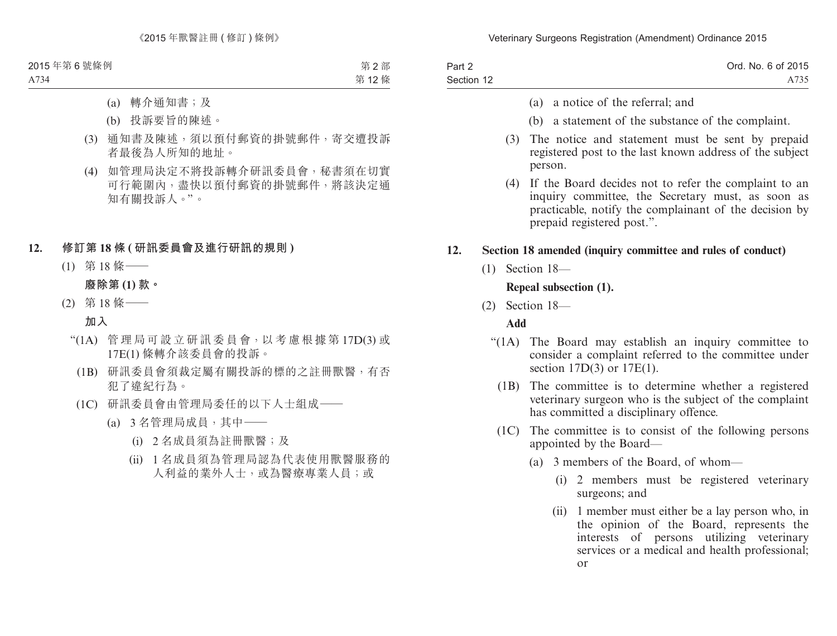| Part 2     | Ord. No. 6 of 2015 |
|------------|--------------------|
| Section 12 | A735               |

- (a) a notice of the referral; and
- (b) a statement of the substance of the complaint.
- (3) The notice and statement must be sent by prepaid registered post to the last known address of the subject person.
- (4) If the Board decides not to refer the complaint to an inquiry committee, the Secretary must, as soon as practicable, notify the complainant of the decision by prepaid registered post.".

#### **12. Section 18 amended (inquiry committee and rules of conduct)**

(1) Section 18—

### **Repeal subsection (1).**

(2) Section 18—

### **Add**

- "(1A) The Board may establish an inquiry committee to consider a complaint referred to the committee under section 17D(3) or 17E(1).
	- (1B) The committee is to determine whether a registered veterinary surgeon who is the subject of the complaint has committed a disciplinary offence.
	- (1C) The committee is to consist of the following persons appointed by the Board—
		- (a) 3 members of the Board, of whom—
			- (i) 2 members must be registered veterinary surgeons; and
			- (ii) 1 member must either be a lay person who, in the opinion of the Board, represents the interests of persons utilizing veterinary services or a medical and health professional; or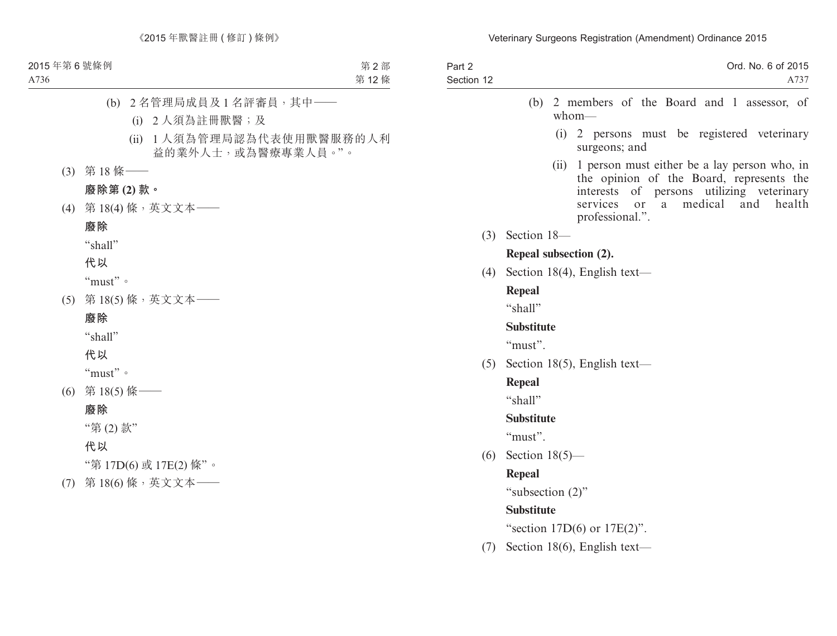| Part 2<br>Section 12 | Ord. No. 6 of 2015<br>A737                                                                                                                                                                                                |  |  |
|----------------------|---------------------------------------------------------------------------------------------------------------------------------------------------------------------------------------------------------------------------|--|--|
|                      | 2 members of the Board and 1 assessor, of<br>(b)<br>$whom$ —                                                                                                                                                              |  |  |
|                      | (i)<br>2 persons must be registered veterinary<br>surgeons; and                                                                                                                                                           |  |  |
|                      | 1 person must either be a lay person who, in<br>(ii)<br>the opinion of the Board, represents the<br>of<br>persons utilizing veterinary<br>interests<br>medical<br>services<br>and<br>health<br>or<br>a<br>professional.". |  |  |
|                      | $(3)$ Section 18-                                                                                                                                                                                                         |  |  |
|                      | Repeal subsection (2).                                                                                                                                                                                                    |  |  |
| (4)                  | Section 18(4), English text—                                                                                                                                                                                              |  |  |
|                      | <b>Repeal</b>                                                                                                                                                                                                             |  |  |
|                      | "shall"                                                                                                                                                                                                                   |  |  |
|                      | <b>Substitute</b>                                                                                                                                                                                                         |  |  |
|                      | "must".                                                                                                                                                                                                                   |  |  |
|                      | $(5)$ Section 18(5), English text—                                                                                                                                                                                        |  |  |
|                      | <b>Repeal</b>                                                                                                                                                                                                             |  |  |
|                      | "shall"                                                                                                                                                                                                                   |  |  |
|                      | <b>Substitute</b>                                                                                                                                                                                                         |  |  |
|                      | "must".                                                                                                                                                                                                                   |  |  |
| (6)                  | Section $18(5)$ —                                                                                                                                                                                                         |  |  |
|                      | <b>Repeal</b>                                                                                                                                                                                                             |  |  |
|                      | "subsection (2)"                                                                                                                                                                                                          |  |  |
|                      | <b>Substitute</b>                                                                                                                                                                                                         |  |  |
|                      | "section $17D(6)$ or $17E(2)$ ".                                                                                                                                                                                          |  |  |
| (7)                  | Section 18(6), English text—                                                                                                                                                                                              |  |  |
|                      |                                                                                                                                                                                                                           |  |  |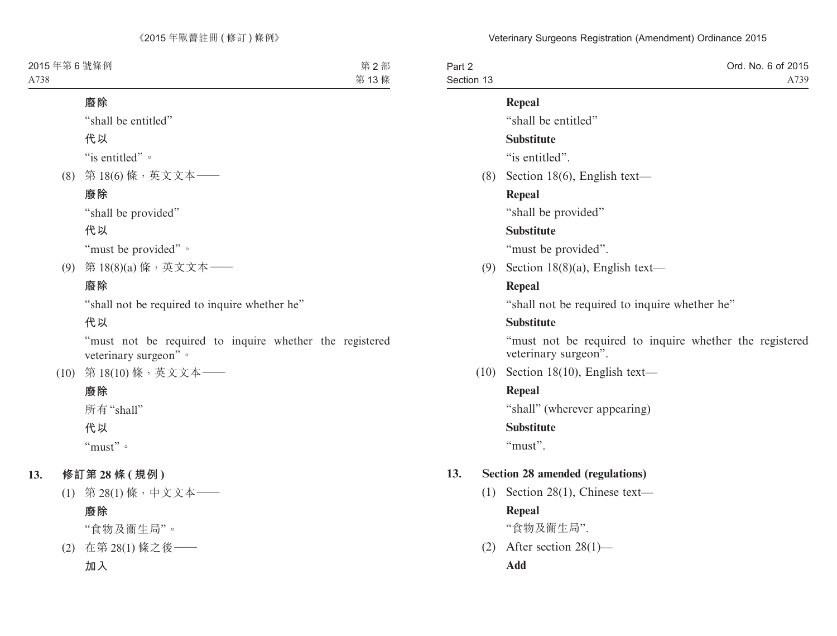| Part 2     | Ord. No. 6 of 2015 |
|------------|--------------------|
| Section 13 | A739               |

### **Repeal**

"shall be entitled"

### **Substitute**

"is entitled".

(8) Section 18(6), English text—

# **Repeal**

"shall be provided"

## **Substitute**

"must be provided".

(9) Section 18(8)(a), English text—

## **Repeal**

"shall not be required to inquire whether he"

## **Substitute**

"must not be required to inquire whether the registered veterinary surgeon".

(10) Section 18(10), English text—

# **Repeal**

"shall" (wherever appearing)

### **Substitute**

"must".

# **13. Section 28 amended (regulations)**

(1) Section 28(1), Chinese text—

# **Repeal**

"食物及衞生局".

(2) After section 28(1)— **Add**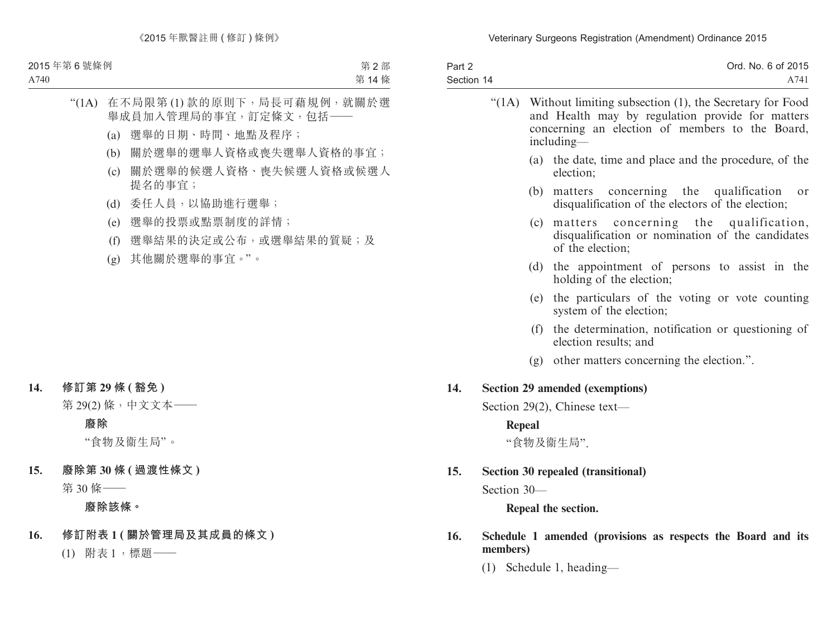| Part 2<br>Section 14 |                                    |                                                                                                                                                                              | Ord. No. 6 of 2015<br>A741                                                                                    |
|----------------------|------------------------------------|------------------------------------------------------------------------------------------------------------------------------------------------------------------------------|---------------------------------------------------------------------------------------------------------------|
|                      | " $(1A)$                           | Without limiting subsection (1), the Secretary for Food<br>and Health may by regulation provide for matters<br>concerning an election of members to the Board,<br>including- |                                                                                                               |
|                      |                                    | (a)                                                                                                                                                                          | the date, time and place and the procedure, of the<br>election:                                               |
|                      |                                    | (b)                                                                                                                                                                          | matters concerning the qualification<br><sub>or</sub><br>disqualification of the electors of the election;    |
|                      |                                    | (c)                                                                                                                                                                          | matters concerning the qualification,<br>disqualification or nomination of the candidates<br>of the election; |
|                      |                                    | (d)                                                                                                                                                                          | the appointment of persons to assist in the<br>holding of the election;                                       |
|                      |                                    | (e)                                                                                                                                                                          | the particulars of the voting or vote counting<br>system of the election;                                     |
|                      |                                    | (f)                                                                                                                                                                          | the determination, notification or questioning of<br>election results; and                                    |
|                      |                                    |                                                                                                                                                                              | (g) other matters concerning the election.".                                                                  |
| 14.                  |                                    |                                                                                                                                                                              | Section 29 amended (exemptions)                                                                               |
|                      | Section 29(2), Chinese text—       |                                                                                                                                                                              |                                                                                                               |
|                      | Repeal                             |                                                                                                                                                                              |                                                                                                               |
|                      |                                    |                                                                                                                                                                              | "食物及衞生局".                                                                                                     |
| 15.                  | Section 30 repealed (transitional) |                                                                                                                                                                              |                                                                                                               |
|                      | Section 30-                        |                                                                                                                                                                              |                                                                                                               |
|                      |                                    |                                                                                                                                                                              | Repeal the section.                                                                                           |
| $\sim$               |                                    |                                                                                                                                                                              | $C1114$ $T2$                                                                                                  |

- **16. Schedule 1 amended (provisions as respects the Board and its members)**
	- (1) Schedule 1, heading—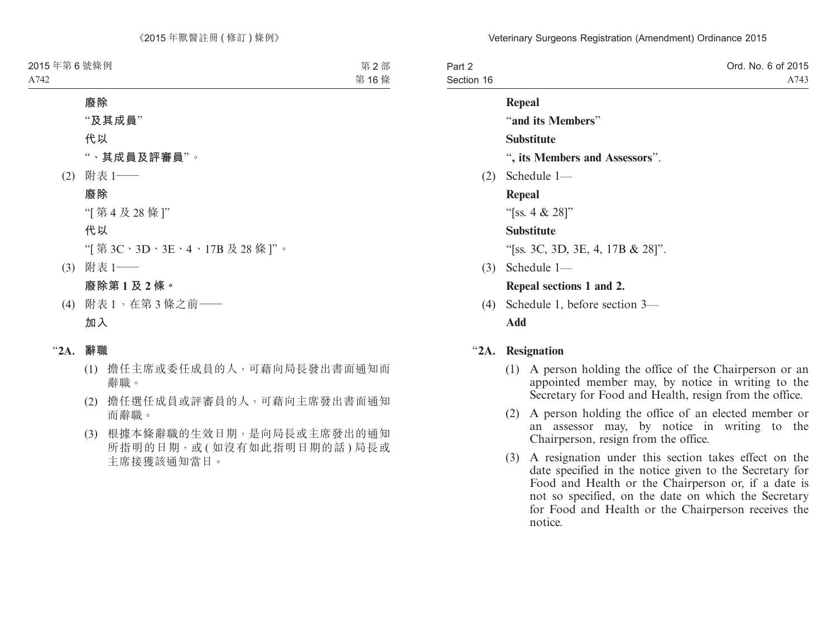| Part 2     | Ord. No. 6 of 2015 |
|------------|--------------------|
| Section 16 | A743               |

#### **Repeal**

"**and its Members**"

### **Substitute**

- "**, its Members and Assessors**".
- (2) Schedule 1—

**Repeal**

"[ss. 4 & 28]"

### **Substitute**

"[ss. 3C, 3D, 3E, 4, 17B & 28]".

(3) Schedule 1—

## **Repeal sections 1 and 2.**

(4) Schedule 1, before section 3— **Add**

# "**2A. Resignation**

- (1) A person holding the office of the Chairperson or an appointed member may, by notice in writing to the Secretary for Food and Health, resign from the office.
- (2) A person holding the office of an elected member or an assessor may, by notice in writing to the Chairperson, resign from the office.
- (3) A resignation under this section takes effect on the date specified in the notice given to the Secretary for Food and Health or the Chairperson or, if a date is not so specified, on the date on which the Secretary for Food and Health or the Chairperson receives the notice.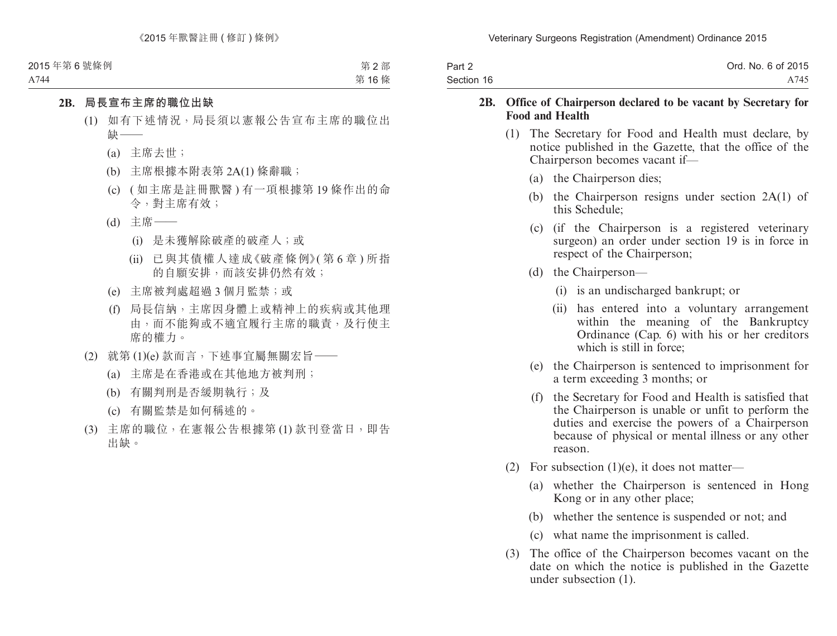| Part 2     | Ord. No. 6 of 2015 |
|------------|--------------------|
| Section 16 | A745               |

#### **2B. Office of Chairperson declared to be vacant by Secretary for Food and Health**

- (1) The Secretary for Food and Health must declare, by notice published in the Gazette, that the office of the Chairperson becomes vacant if—
	- (a) the Chairperson dies;
	- (b) the Chairperson resigns under section 2A(1) of this Schedule;
	- (c) (if the Chairperson is a registered veterinary surgeon) an order under section 19 is in force in respect of the Chairperson;
	- (d) the Chairperson—
		- (i) is an undischarged bankrupt; or
		- (ii) has entered into a voluntary arrangement within the meaning of the Bankruptcy Ordinance (Cap. 6) with his or her creditors which is still in force;
	- (e) the Chairperson is sentenced to imprisonment for a term exceeding 3 months; or
	- (f) the Secretary for Food and Health is satisfied that the Chairperson is unable or unfit to perform the duties and exercise the powers of a Chairperson because of physical or mental illness or any other reason.
- (2) For subsection  $(1)(e)$ , it does not matter—
	- (a) whether the Chairperson is sentenced in Hong Kong or in any other place;
	- (b) whether the sentence is suspended or not; and
	- (c) what name the imprisonment is called.
- (3) The office of the Chairperson becomes vacant on the date on which the notice is published in the Gazette under subsection (1).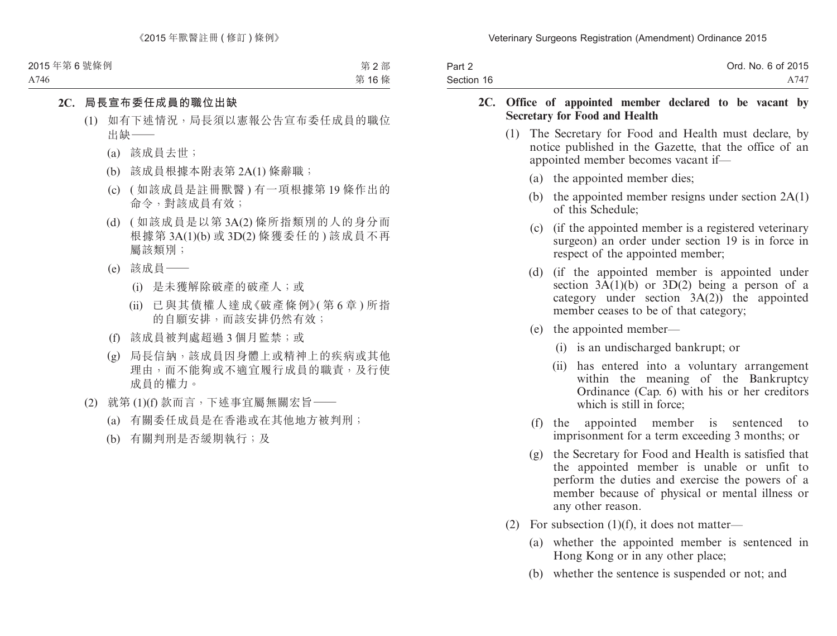| Part 2     | Ord. No. 6 of 2015 |
|------------|--------------------|
| Section 16 | A747               |

#### **2C. Office of appointed member declared to be vacant by Secretary for Food and Health**

- (1) The Secretary for Food and Health must declare, by notice published in the Gazette, that the office of an appointed member becomes vacant if—
	- (a) the appointed member dies;
	- (b) the appointed member resigns under section 2A(1) of this Schedule;
	- (c) (if the appointed member is a registered veterinary surgeon) an order under section 19 is in force in respect of the appointed member;
	- (d) (if the appointed member is appointed under section  $3A(1)(b)$  or  $3D(2)$  being a person of a category under section 3A(2)) the appointed member ceases to be of that category;
	- (e) the appointed member—
		- (i) is an undischarged bankrupt; or
		- (ii) has entered into a voluntary arrangement within the meaning of the Bankruptcy Ordinance (Cap. 6) with his or her creditors which is still in force:
	- (f) the appointed member is sentenced to imprisonment for a term exceeding 3 months; or
	- (g) the Secretary for Food and Health is satisfied that the appointed member is unable or unfit to perform the duties and exercise the powers of a member because of physical or mental illness or any other reason.
- (2) For subsection  $(1)(f)$ , it does not matter—
	- (a) whether the appointed member is sentenced in Hong Kong or in any other place;
	- (b) whether the sentence is suspended or not; and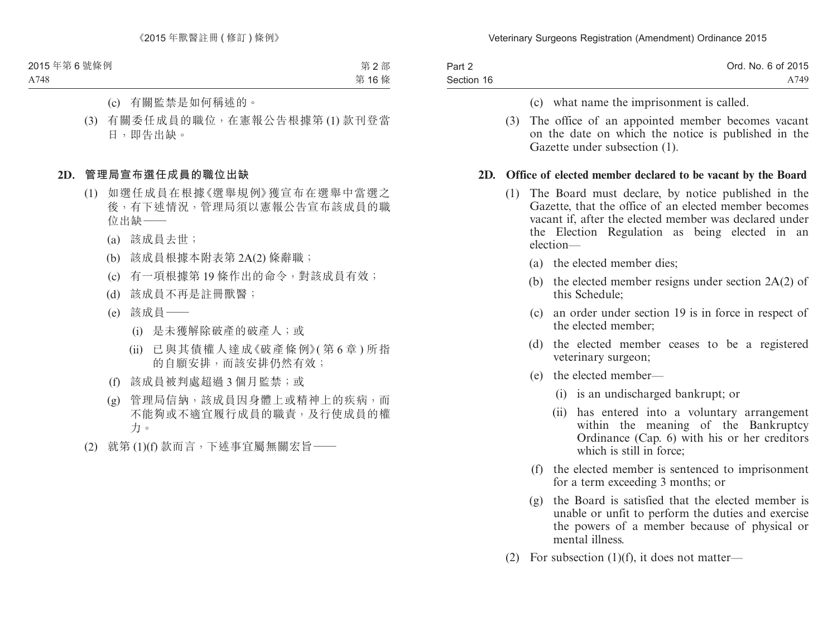| Part 2     | Ord. No. 6 of 2015 |
|------------|--------------------|
| Section 16 | A749               |

- (c) what name the imprisonment is called.
- (3) The office of an appointed member becomes vacant on the date on which the notice is published in the Gazette under subsection (1).

#### **2D. Office of elected member declared to be vacant by the Board**

- (1) The Board must declare, by notice published in the Gazette, that the office of an elected member becomes vacant if, after the elected member was declared under the Election Regulation as being elected in an election—
	- (a) the elected member dies;
	- (b) the elected member resigns under section 2A(2) of this Schedule;
	- (c) an order under section 19 is in force in respect of the elected member;
	- (d) the elected member ceases to be a registered veterinary surgeon;
	- (e) the elected member—
		- (i) is an undischarged bankrupt; or
		- (ii) has entered into a voluntary arrangement within the meaning of the Bankruptcy Ordinance (Cap. 6) with his or her creditors which is still in force;
	- (f) the elected member is sentenced to imprisonment for a term exceeding 3 months; or
	- (g) the Board is satisfied that the elected member is unable or unfit to perform the duties and exercise the powers of a member because of physical or mental illness.
- (2) For subsection  $(1)(f)$ , it does not matter—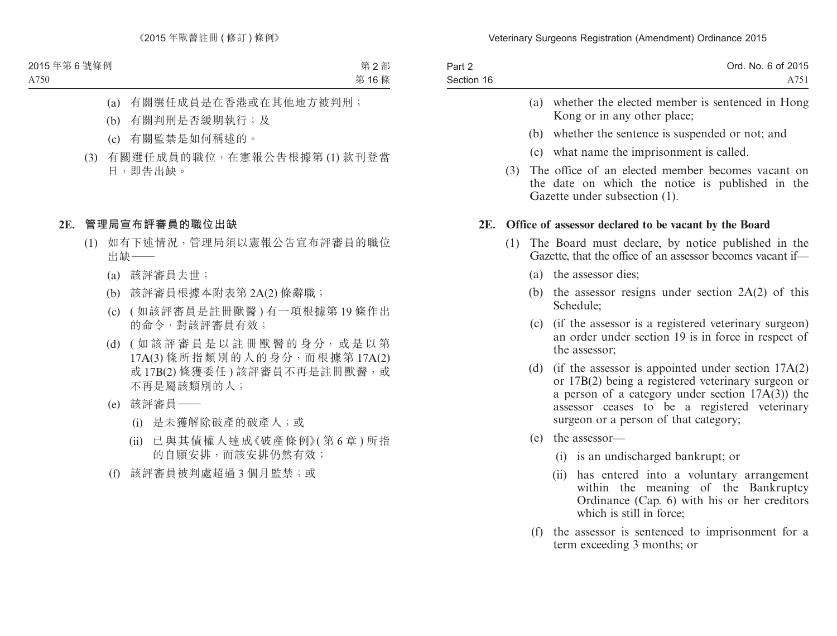| Part 2     | Ord. No. 6 of 2015 |
|------------|--------------------|
| Section 16 | A751               |

- (a) whether the elected member is sentenced in Hong Kong or in any other place;
- (b) whether the sentence is suspended or not; and
- (c) what name the imprisonment is called.
- (3) The office of an elected member becomes vacant on the date on which the notice is published in the Gazette under subsection (1).

#### **2E. Office of assessor declared to be vacant by the Board**

- (1) The Board must declare, by notice published in the Gazette, that the office of an assessor becomes vacant if—
	- (a) the assessor dies;
	- (b) the assessor resigns under section  $2A(2)$  of this Schedule;
	- (c) (if the assessor is a registered veterinary surgeon) an order under section 19 is in force in respect of the assessor;
	- (d) (if the assessor is appointed under section 17A(2) or 17B(2) being a registered veterinary surgeon or a person of a category under section 17A(3)) the assessor ceases to be a registered veterinary surgeon or a person of that category;
	- (e) the assessor—
		- (i) is an undischarged bankrupt; or
		- (ii) has entered into a voluntary arrangement within the meaning of the Bankruptcy Ordinance (Cap. 6) with his or her creditors which is still in force;
	- (f) the assessor is sentenced to imprisonment for a term exceeding 3 months; or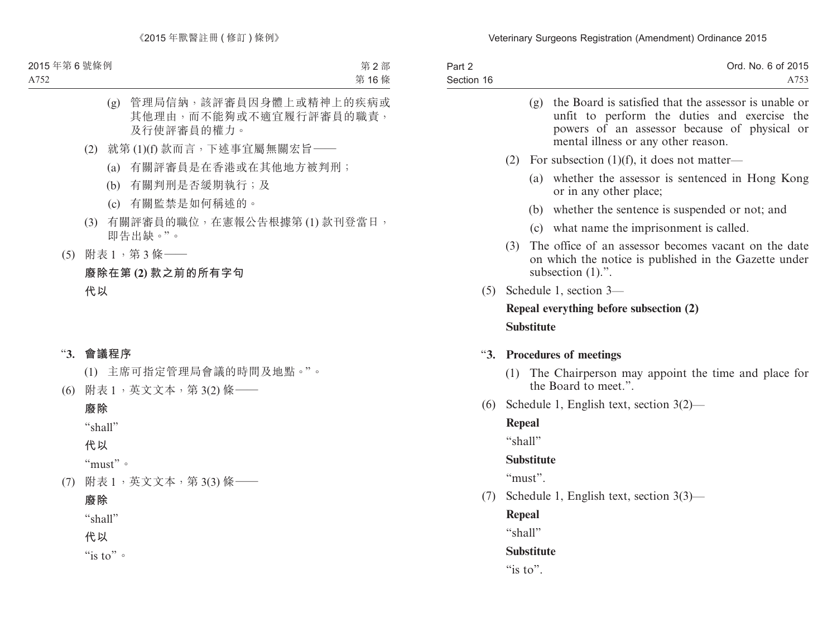| Part 2     | Ord. No. 6 of 2015 |
|------------|--------------------|
| Section 16 | A753               |

|     |                                         | (g) the Board is satisfied that the assessor is unable or<br>unfit to perform the duties and exercise the<br>powers of an assessor because of physical or<br>mental illness or any other reason. |  |
|-----|-----------------------------------------|--------------------------------------------------------------------------------------------------------------------------------------------------------------------------------------------------|--|
|     | (2)                                     | For subsection $(1)(f)$ , it does not matter—                                                                                                                                                    |  |
|     |                                         | whether the assessor is sentenced in Hong Kong<br>(a)<br>or in any other place;                                                                                                                  |  |
|     |                                         | (b) whether the sentence is suspended or not; and                                                                                                                                                |  |
|     |                                         | (c) what name the imprisonment is called.                                                                                                                                                        |  |
|     | (3)                                     | The office of an assessor becomes vacant on the date<br>on which the notice is published in the Gazette under<br>subsection $(1)$ .".                                                            |  |
|     | $(5)$ Schedule 1, section 3—            |                                                                                                                                                                                                  |  |
|     | Repeal everything before subsection (2) |                                                                                                                                                                                                  |  |
|     | <b>Substitute</b>                       |                                                                                                                                                                                                  |  |
|     |                                         | "3. Procedures of meetings                                                                                                                                                                       |  |
|     | (1)                                     | The Chairperson may appoint the time and place for<br>the Board to meet.".                                                                                                                       |  |
| (6) |                                         | Schedule 1, English text, section $3(2)$ —                                                                                                                                                       |  |
|     | Repeal                                  |                                                                                                                                                                                                  |  |
|     | "shall"                                 |                                                                                                                                                                                                  |  |
|     | <b>Substitute</b>                       |                                                                                                                                                                                                  |  |
|     |                                         | "must".                                                                                                                                                                                          |  |
| (7) |                                         | Schedule 1, English text, section $3(3)$ —                                                                                                                                                       |  |
|     | Repeal                                  |                                                                                                                                                                                                  |  |

"shall"

# **Substitute**

"is to".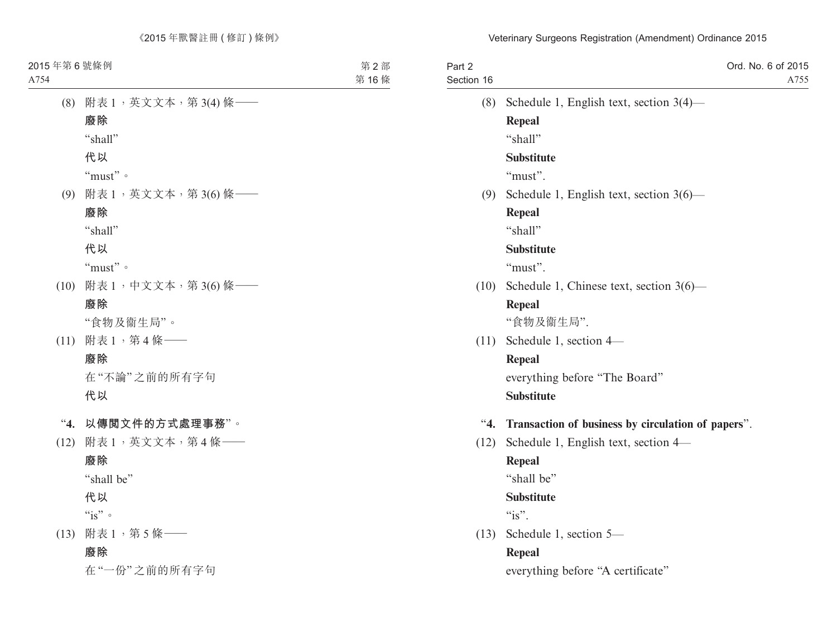| Part 2<br>Section 16 | Ord. No. 6 of 2015<br>A755                         |
|----------------------|----------------------------------------------------|
| (8)                  | Schedule 1, English text, section $3(4)$ —         |
|                      | <b>Repeal</b>                                      |
|                      | "shall"                                            |
|                      | <b>Substitute</b>                                  |
|                      | "must".                                            |
| (9)                  | Schedule 1, English text, section $3(6)$ —         |
|                      | Repeal                                             |
|                      | "shall"                                            |
|                      | <b>Substitute</b>                                  |
|                      | "must".                                            |
| (10)                 | Schedule 1, Chinese text, section $3(6)$ —         |
|                      | <b>Repeal</b>                                      |
|                      | "食物及衞生局".                                          |
| (11)                 | Schedule 1, section 4-                             |
|                      | <b>Repeal</b>                                      |
|                      | everything before "The Board"                      |
|                      | <b>Substitute</b>                                  |
| 4.                   | Transaction of business by circulation of papers". |
| (12)                 | Schedule 1, English text, section 4—               |
|                      | <b>Repeal</b>                                      |
|                      | "shall be"                                         |
|                      | <b>Substitute</b>                                  |
|                      | " $is$ ".                                          |
| (13)                 | Schedule 1, section 5-                             |
|                      | <b>Repeal</b>                                      |
|                      | everything before "A certificate"                  |
|                      |                                                    |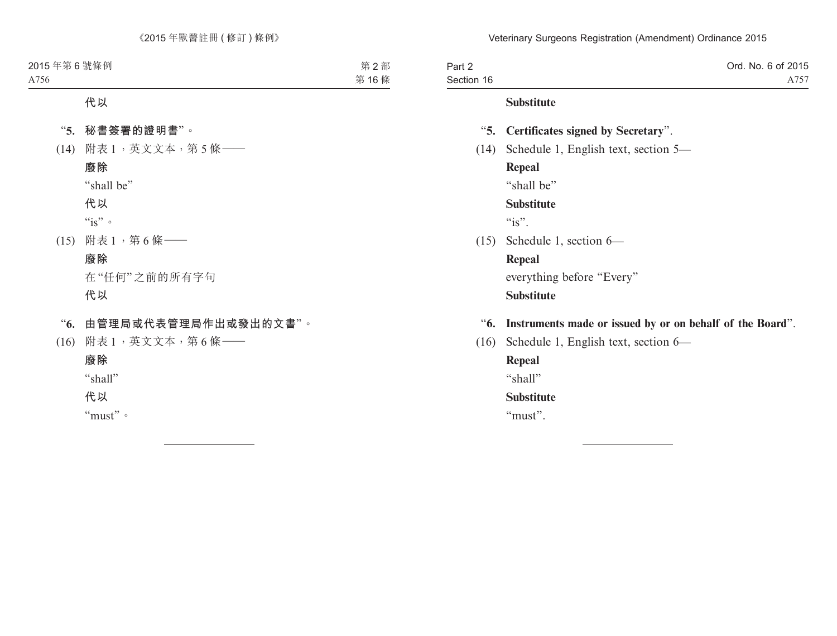| Part 2     | Ord. No. 6 of 2015                                        |
|------------|-----------------------------------------------------------|
| Section 16 | A757                                                      |
|            | <b>Substitute</b>                                         |
|            | "5. Certificates signed by Secretary".                    |
| (14)       | Schedule 1, English text, section 5—                      |
|            | <b>Repeal</b>                                             |
|            | "shall be"                                                |
|            | <b>Substitute</b>                                         |
|            | " $is$ ".                                                 |
|            | $(15)$ Schedule 1, section 6—                             |
|            | Repeal                                                    |
|            | everything before "Every"                                 |
|            | <b>Substitute</b>                                         |
| "6.        | Instruments made or issued by or on behalf of the Board". |
| (16)       | Schedule 1, English text, section 6—                      |

**Repeal** "shall" **Substitute** "must".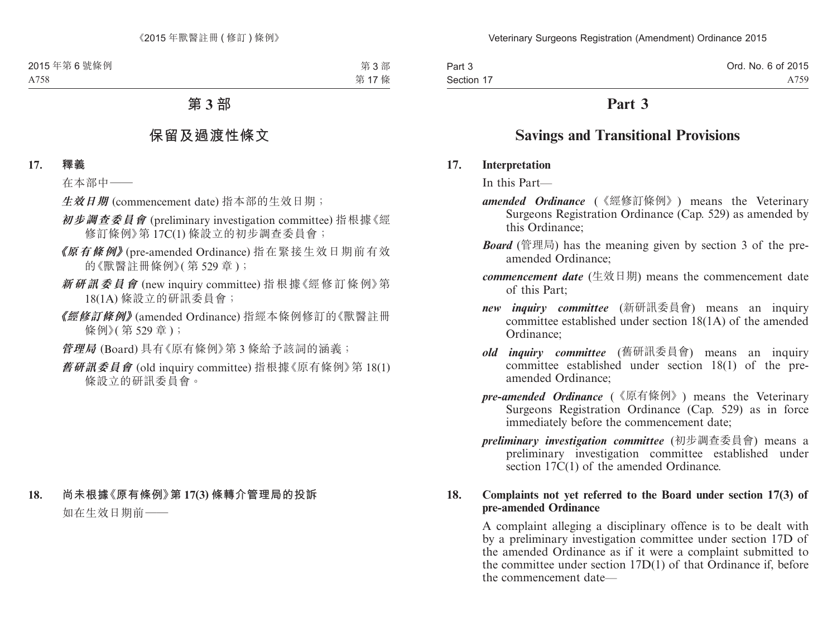Part 3 Section 17 Ord. No. 6 of 2015 A759

# **Part 3**

# **Savings and Transitional Provisions**

#### **17. Interpretation**

In this Part—

- *amended Ordinance* (《經修訂條例》) means the Veterinary Surgeons Registration Ordinance (Cap. 529) as amended by this Ordinance;
- *Board* (管理局) has the meaning given by section 3 of the preamended Ordinance;
- *commencement date* (生效日期) means the commencement date of this Part;
- *new inquiry committee* (新研訊委員會) means an inquiry committee established under section 18(1A) of the amended Ordinance;
- *old inquiry committee* (舊研訊委員會) means an inquiry committee established under section 18(1) of the preamended Ordinance;
- *pre-amended Ordinance* (《原有條例》) means the Veterinary Surgeons Registration Ordinance (Cap. 529) as in force immediately before the commencement date;
- *preliminary investigation committee* (初步調查委員會) means a preliminary investigation committee established under section 17C(1) of the amended Ordinance.

#### **18. Complaints not yet referred to the Board under section 17(3) of pre-amended Ordinance**

A complaint alleging a disciplinary offence is to be dealt with by a preliminary investigation committee under section 17D of the amended Ordinance as if it were a complaint submitted to the committee under section 17D(1) of that Ordinance if, before the commencement date—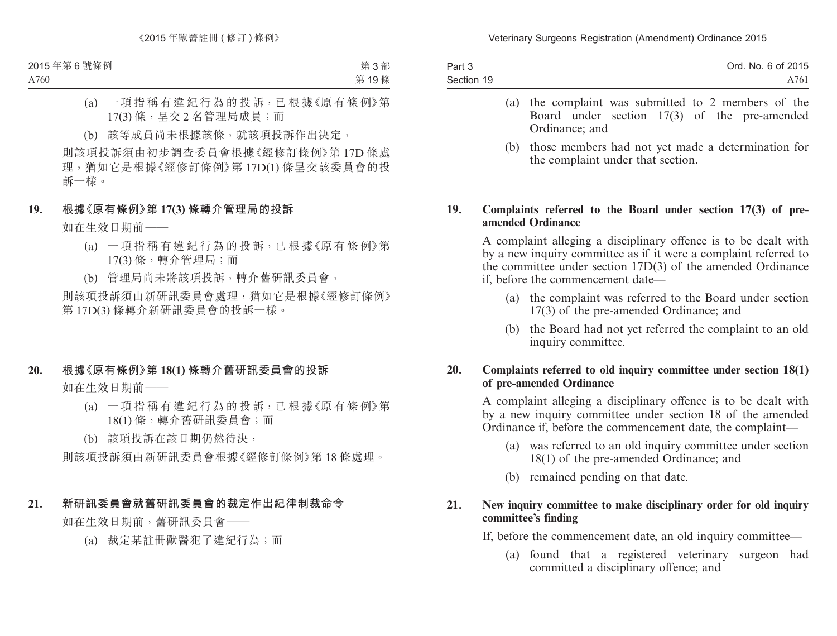| Part 3     | Ord. No. 6 of 2015 |
|------------|--------------------|
| Section 19 | A761               |

- (a) the complaint was submitted to 2 members of the Board under section 17(3) of the pre-amended Ordinance; and
- (b) those members had not yet made a determination for the complaint under that section.

#### **19. Complaints referred to the Board under section 17(3) of preamended Ordinance**

A complaint alleging a disciplinary offence is to be dealt with by a new inquiry committee as if it were a complaint referred to the committee under section 17D(3) of the amended Ordinance if, before the commencement date—

- (a) the complaint was referred to the Board under section 17(3) of the pre-amended Ordinance; and
- (b) the Board had not yet referred the complaint to an old inquiry committee.

### **20. Complaints referred to old inquiry committee under section 18(1) of pre-amended Ordinance**

A complaint alleging a disciplinary offence is to be dealt with by a new inquiry committee under section 18 of the amended Ordinance if, before the commencement date, the complaint—

- (a) was referred to an old inquiry committee under section 18(1) of the pre-amended Ordinance; and
- (b) remained pending on that date.

### **21. New inquiry committee to make disciplinary order for old inquiry committee's finding**

If, before the commencement date, an old inquiry committee—

(a) found that a registered veterinary surgeon had committed a disciplinary offence; and